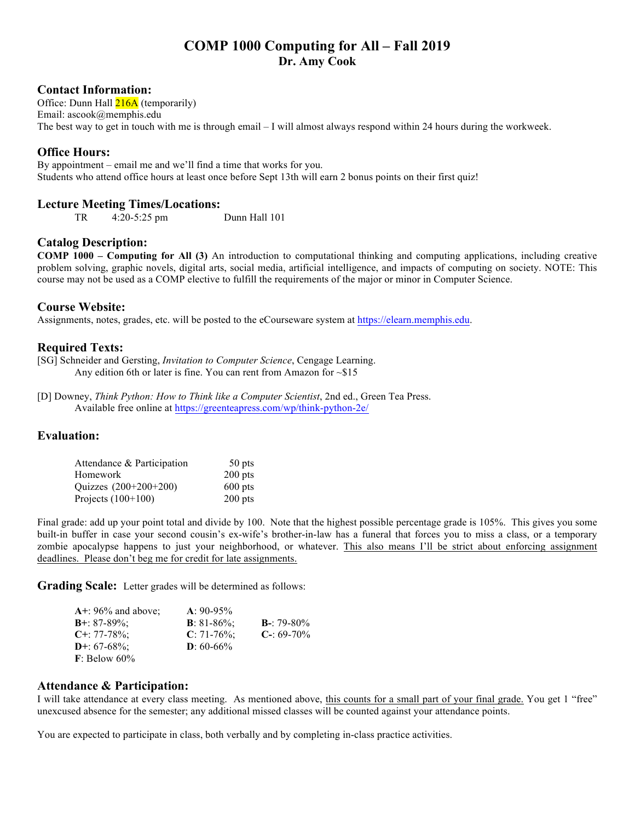# **COMP 1000 Computing for All – Fall 2019 Dr. Amy Cook**

#### **Contact Information:**

Office: Dunn Hall 216A (temporarily) Email: ascook@memphis.edu The best way to get in touch with me is through email – I will almost always respond within 24 hours during the workweek.

## **Office Hours:**

By appointment – email me and we'll find a time that works for you. Students who attend office hours at least once before Sept 13th will earn 2 bonus points on their first quiz!

#### **Lecture Meeting Times/Locations:**

TR 4:20-5:25 pm Dunn Hall 101

#### **Catalog Description:**

**COMP 1000 – Computing for All (3)** An introduction to computational thinking and computing applications, including creative problem solving, graphic novels, digital arts, social media, artificial intelligence, and impacts of computing on society. NOTE: This course may not be used as a COMP elective to fulfill the requirements of the major or minor in Computer Science.

#### **Course Website:**

Assignments, notes, grades, etc. will be posted to the eCourseware system at https://elearn.memphis.edu.

#### **Required Texts:**

[SG] Schneider and Gersting, *Invitation to Computer Science*, Cengage Learning. Any edition 6th or later is fine. You can rent from Amazon for ~\$15

[D] Downey, *Think Python: How to Think like a Computer Scientist*, 2nd ed., Green Tea Press. Available free online at https://greenteapress.com/wp/think-python-2e/

#### **Evaluation:**

| Attendance & Participation | 50 pts    |
|----------------------------|-----------|
| Homework                   | $200$ pts |
| Quizzes (200+200+200)      | $600$ pts |
| Projects $(100+100)$       | $200$ pts |

Final grade: add up your point total and divide by 100. Note that the highest possible percentage grade is 105%. This gives you some built-in buffer in case your second cousin's ex-wife's brother-in-law has a funeral that forces you to miss a class, or a temporary zombie apocalypse happens to just your neighborhood, or whatever. This also means I'll be strict about enforcing assignment deadlines. Please don't beg me for credit for late assignments.

**Grading Scale:** Letter grades will be determined as follows:

| $A$ +: 96% and above:    | $A: 90-95\%$           |                    |
|--------------------------|------------------------|--------------------|
| <b>B</b> +: $87-89\%$ :  | <b>B</b> : $81-86\%$ ; | <b>B</b> -: 79-80% |
| $C_{\pm}$ : 77-78%;      | $C: 71-76\%$ ;         | $C - 69 - 70\%$    |
| <b>D</b> +: $67-68\%$ ;  | $D: 60-66\%$           |                    |
| $\mathbf{F}$ : Below 60% |                        |                    |

#### **Attendance & Participation:**

I will take attendance at every class meeting. As mentioned above, this counts for a small part of your final grade. You get 1 "free" unexcused absence for the semester; any additional missed classes will be counted against your attendance points.

You are expected to participate in class, both verbally and by completing in-class practice activities.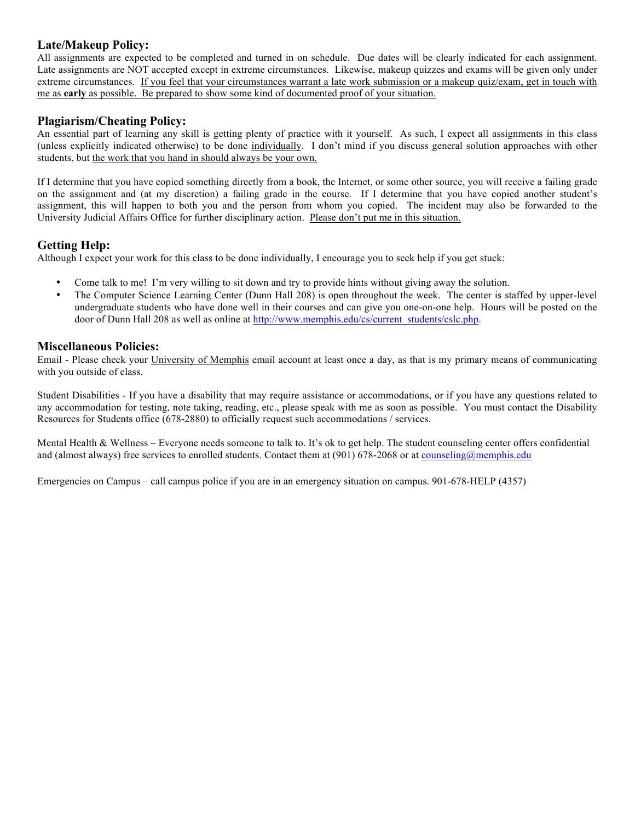# **Late/Makeup Policy:**

All assignments are expected to be completed and turned in on schedule. Due dates will be clearly indicated for each assignment. Late assignments are NOT accepted except in extreme circumstances. Likewise, makeup quizzes and exams will be given only under extreme circumstances. If you feel that your circumstances warrant a late work submission or a makeup quiz/exam, get in touch with me as **early** as possible. Be prepared to show some kind of documented proof of your situation.

# **Plagiarism/Cheating Policy:**

An essential part of learning any skill is getting plenty of practice with it yourself. As such, I expect all assignments in this class (unless explicitly indicated otherwise) to be done individually. I don't mind if you discuss general solution approaches with other students, but the work that you hand in should always be your own.

If I determine that you have copied something directly from a book, the Internet, or some other source, you will receive a failing grade on the assignment and (at my discretion) a failing grade in the course. If I determine that you have copied another student's assignment, this will happen to both you and the person from whom you copied. The incident may also be forwarded to the University Judicial Affairs Office for further disciplinary action. Please don't put me in this situation.

# **Getting Help:**

Although I expect your work for this class to be done individually, I encourage you to seek help if you get stuck:

- Come talk to me! I'm very willing to sit down and try to provide hints without giving away the solution.
- The Computer Science Learning Center (Dunn Hall 208) is open throughout the week. The center is staffed by upper-level undergraduate students who have done well in their courses and can give you one-on-one help. Hours will be posted on the door of Dunn Hall 208 as well as online at http://www.memphis.edu/cs/current\_students/cslc.php.

## **Miscellaneous Policies:**

Email - Please check your University of Memphis email account at least once a day, as that is my primary means of communicating with you outside of class.

Student Disabilities - If you have a disability that may require assistance or accommodations, or if you have any questions related to any accommodation for testing, note taking, reading, etc., please speak with me as soon as possible. You must contact the Disability Resources for Students office (678-2880) to officially request such accommodations / services.

Mental Health & Wellness – Everyone needs someone to talk to. It's ok to get help. The student counseling center offers confidential and (almost always) free services to enrolled students. Contact them at (901) 678-2068 or at counseling@memphis.edu

Emergencies on Campus – call campus police if you are in an emergency situation on campus. 901-678-HELP (4357)